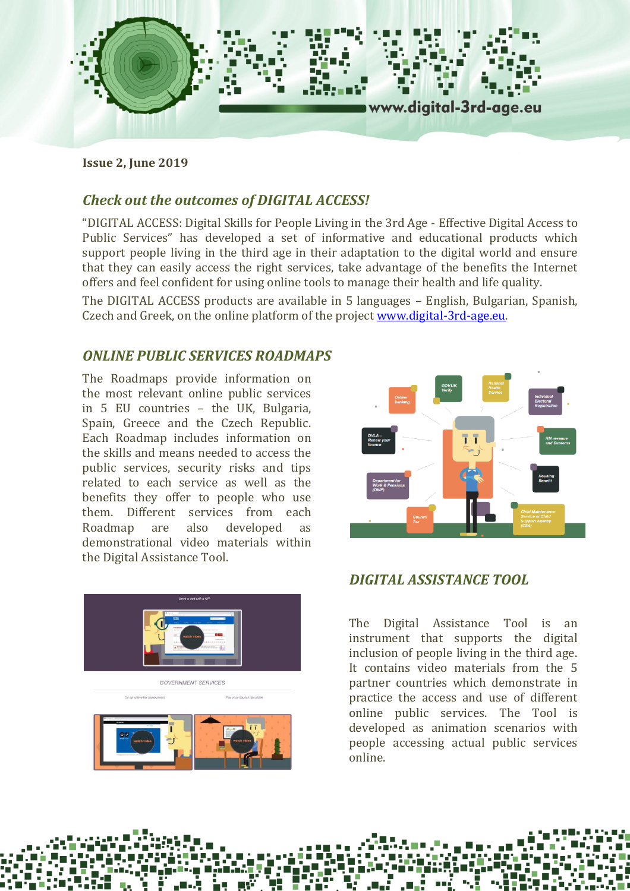

**Issue 2, June 2019**

# *Check out the outcomes of DIGITAL ACCESS!*

"DIGITAL ACCESS: Digital Skills for People Living in the 3rd Age - Effective Digital Access to Public Services" has developed a set of informative and educational products which support people living in the third age in their adaptation to the digital world and ensure that they can easily access the right services, take advantage of the benefits the Internet offers and feel confident for using online tools to manage their health and life quality.

The DIGITAL ACCESS products are available in 5 languages – English, Bulgarian, Spanish, Czech and Greek, on the online platform of the project [www.digital-3rd-age.eu.](http://www.digital-3rd-age.eu/)

### *ONLINE PUBLIC SERVICES ROADMAPS*

The Roadmaps provide information on the most relevant online public services in 5 EU countries – the UK, Bulgaria, Spain, Greece and the Czech Republic. Each Roadmap includes information on the skills and means needed to access the public services, security risks and tips related to each service as well as the benefits they offer to people who use them. Different services from each Roadmap are also developed as demonstrational video materials within the Digital Assistance Tool.





### *DIGITAL ASSISTANCE TOOL*

The Digital Assistance Tool is an instrument that supports the digital inclusion of people living in the third age. It contains video materials from the 5 partner countries which demonstrate in practice the access and use of different online public services. The Tool is developed as animation scenarios with people accessing actual public services online.